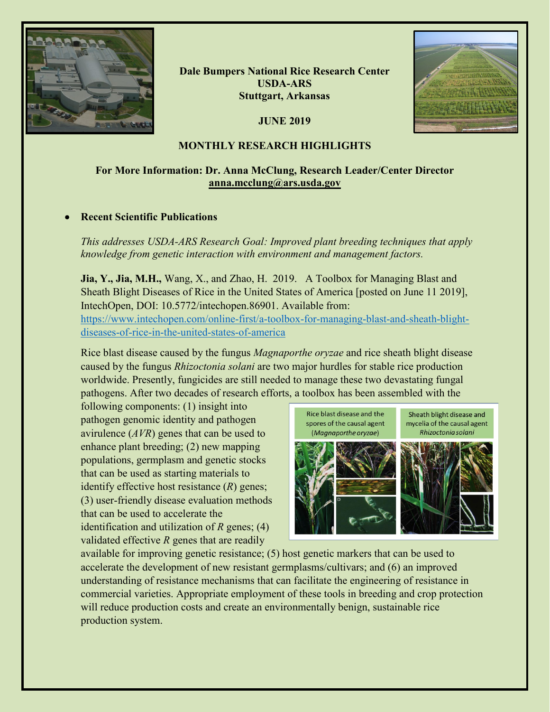

**Dale Bumpers National Rice Research Center USDA-ARS Stuttgart, Arkansas**

**JUNE 2019**



## **MONTHLY RESEARCH HIGHLIGHTS**

# **For More Information: Dr. Anna McClung, Research Leader/Center Director [anna.mcclung@ars.usda.gov](mailto:anna.mcclung@ars.usda.gov)**

## • **Recent Scientific Publications**

*This addresses USDA-ARS Research Goal: Improved plant breeding techniques that apply knowledge from genetic interaction with environment and management factors.*

**Jia, Y., Jia, M.H.,** Wang, X., and Zhao, H. 2019. A Toolbox for Managing Blast and Sheath Blight Diseases of Rice in the United States of America [posted on June 11 2019], IntechOpen, DOI: 10.5772/intechopen.86901. Available from: [https://www.intechopen.com/online-first/a-toolbox-for-managing-blast-and-sheath-blight](https://www.intechopen.com/online-first/a-toolbox-for-managing-blast-and-sheath-blight-diseases-of-rice-in-the-united-states-of-america)[diseases-of-rice-in-the-united-states-of-america](https://www.intechopen.com/online-first/a-toolbox-for-managing-blast-and-sheath-blight-diseases-of-rice-in-the-united-states-of-america)

Rice blast disease caused by the fungus *Magnaporthe oryzae* and rice sheath blight disease caused by the fungus *Rhizoctonia solani* are two major hurdles for stable rice production worldwide. Presently, fungicides are still needed to manage these two devastating fungal pathogens. After two decades of research efforts, a toolbox has been assembled with the

following components: (1) insight into pathogen genomic identity and pathogen avirulence (*AVR*) genes that can be used to enhance plant breeding; (2) new mapping populations, germplasm and genetic stocks that can be used as starting materials to identify effective host resistance (*R*) genes; (3) user-friendly disease evaluation methods that can be used to accelerate the identification and utilization of *R* genes; (4) validated effective *R* genes that are readily



available for improving genetic resistance; (5) host genetic markers that can be used to accelerate the development of new resistant germplasms/cultivars; and (6) an improved understanding of resistance mechanisms that can facilitate the engineering of resistance in commercial varieties. Appropriate employment of these tools in breeding and crop protection will reduce production costs and create an environmentally benign, sustainable rice production system.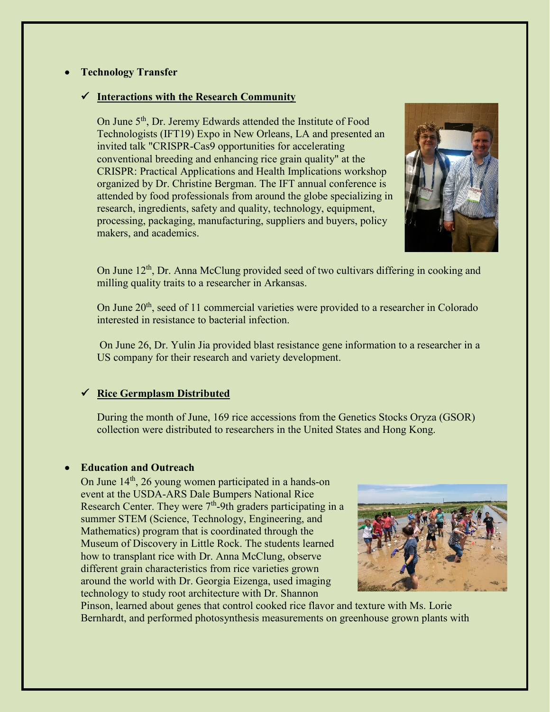## • **Technology Transfer**

## **Interactions with the Research Community**

On June 5<sup>th</sup>, Dr. Jeremy Edwards attended the Institute of Food Technologists (IFT19) Expo in New Orleans, LA and presented an invited talk "CRISPR-Cas9 opportunities for accelerating conventional breeding and enhancing rice grain quality" at the CRISPR: Practical Applications and Health Implications workshop organized by Dr. Christine Bergman. The IFT annual conference is attended by food professionals from around the globe specializing in research, ingredients, safety and quality, technology, equipment, processing, packaging, manufacturing, suppliers and buyers, policy makers, and academics.



On June 12<sup>th</sup>, Dr. Anna McClung provided seed of two cultivars differing in cooking and milling quality traits to a researcher in Arkansas.

On June 20<sup>th</sup>, seed of 11 commercial varieties were provided to a researcher in Colorado interested in resistance to bacterial infection.

On June 26, Dr. Yulin Jia provided blast resistance gene information to a researcher in a US company for their research and variety development.

## **Rice Germplasm Distributed**

During the month of June, 169 rice accessions from the Genetics Stocks Oryza (GSOR) collection were distributed to researchers in the United States and Hong Kong.

#### • **Education and Outreach**

On June 14<sup>th</sup>, 26 young women participated in a hands-on event at the USDA-ARS Dale Bumpers National Rice Research Center. They were  $7<sup>th</sup>$ -9th graders participating in a summer STEM (Science, Technology, Engineering, and Mathematics) program that is coordinated through the Museum of Discovery in Little Rock. The students learned how to transplant rice with Dr. Anna McClung, observe different grain characteristics from rice varieties grown around the world with Dr. Georgia Eizenga, used imaging technology to study root architecture with Dr. Shannon



Pinson, learned about genes that control cooked rice flavor and texture with Ms. Lorie Bernhardt, and performed photosynthesis measurements on greenhouse grown plants with